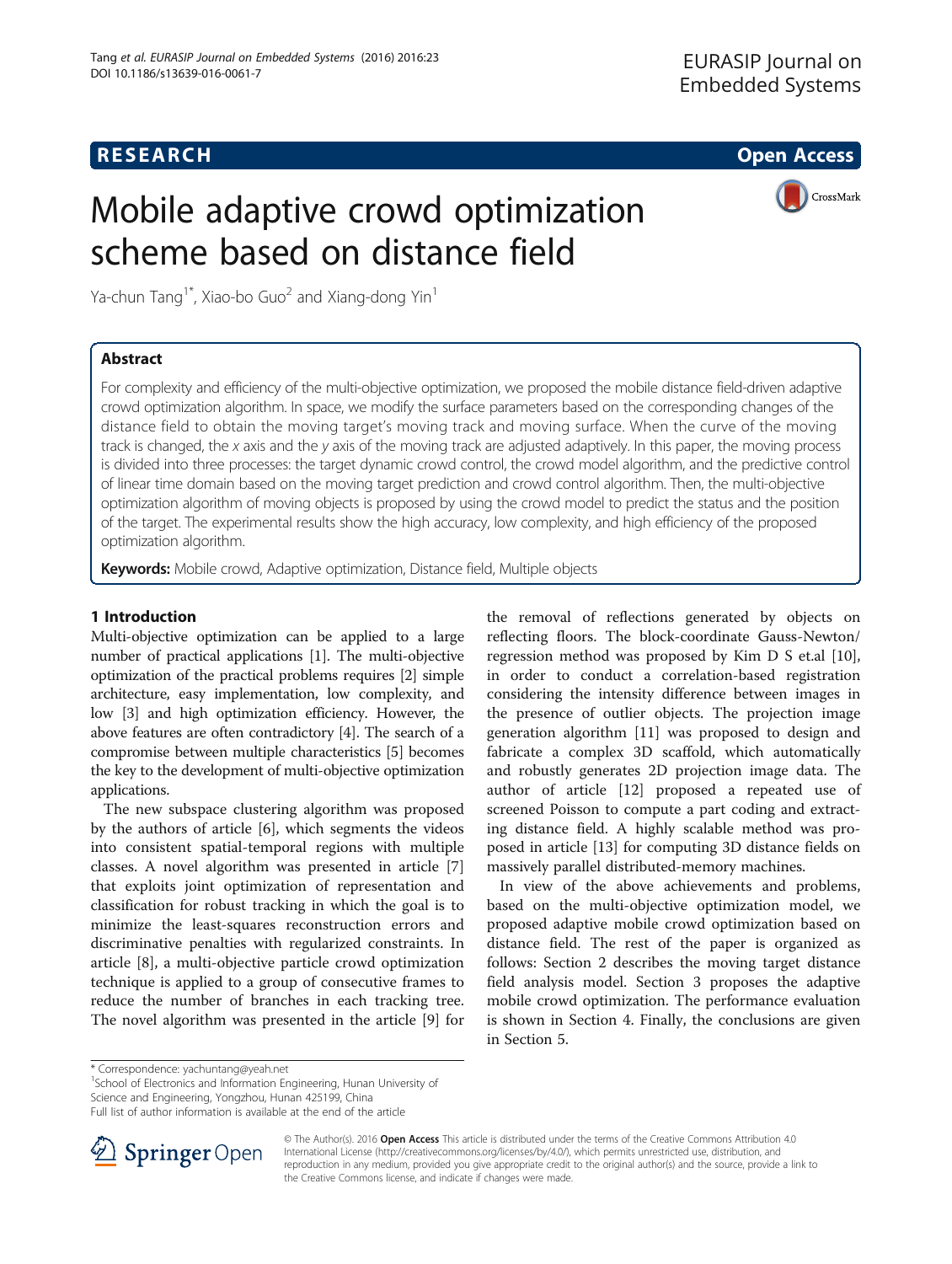## **RESEARCH CHE Open Access**

CrossMark

# Mobile adaptive crowd optimization scheme based on distance field

Ya-chun Tang<sup>1\*</sup>, Xiao-bo Guo<sup>2</sup> and Xiang-dong Yin<sup>1</sup>

## Abstract

For complexity and efficiency of the multi-objective optimization, we proposed the mobile distance field-driven adaptive crowd optimization algorithm. In space, we modify the surface parameters based on the corresponding changes of the distance field to obtain the moving target's moving track and moving surface. When the curve of the moving track is changed, the x axis and the y axis of the moving track are adjusted adaptively. In this paper, the moving process is divided into three processes: the target dynamic crowd control, the crowd model algorithm, and the predictive control of linear time domain based on the moving target prediction and crowd control algorithm. Then, the multi-objective optimization algorithm of moving objects is proposed by using the crowd model to predict the status and the position of the target. The experimental results show the high accuracy, low complexity, and high efficiency of the proposed optimization algorithm.

Keywords: Mobile crowd, Adaptive optimization, Distance field, Multiple objects

## 1 Introduction

Multi-objective optimization can be applied to a large number of practical applications [[1](#page-5-0)]. The multi-objective optimization of the practical problems requires [\[2](#page-5-0)] simple architecture, easy implementation, low complexity, and low [\[3](#page-5-0)] and high optimization efficiency. However, the above features are often contradictory [\[4\]](#page-5-0). The search of a compromise between multiple characteristics [[5](#page-5-0)] becomes the key to the development of multi-objective optimization applications.

The new subspace clustering algorithm was proposed by the authors of article [[6\]](#page-5-0), which segments the videos into consistent spatial-temporal regions with multiple classes. A novel algorithm was presented in article [\[7](#page-5-0)] that exploits joint optimization of representation and classification for robust tracking in which the goal is to minimize the least-squares reconstruction errors and discriminative penalties with regularized constraints. In article [[8\]](#page-5-0), a multi-objective particle crowd optimization technique is applied to a group of consecutive frames to reduce the number of branches in each tracking tree. The novel algorithm was presented in the article [\[9](#page-5-0)] for

the removal of reflections generated by objects on reflecting floors. The block-coordinate Gauss-Newton/ regression method was proposed by Kim D S et.al [\[10](#page-5-0)], in order to conduct a correlation-based registration considering the intensity difference between images in the presence of outlier objects. The projection image generation algorithm [\[11\]](#page-5-0) was proposed to design and fabricate a complex 3D scaffold, which automatically and robustly generates 2D projection image data. The author of article [\[12](#page-5-0)] proposed a repeated use of screened Poisson to compute a part coding and extracting distance field. A highly scalable method was proposed in article [[13\]](#page-5-0) for computing 3D distance fields on massively parallel distributed-memory machines.

In view of the above achievements and problems, based on the multi-objective optimization model, we proposed adaptive mobile crowd optimization based on distance field. The rest of the paper is organized as follows: Section [2](#page-1-0) describes the moving target distance field analysis model. Section [3](#page-1-0) proposes the adaptive mobile crowd optimization. The performance evaluation is shown in Section [4.](#page-3-0) Finally, the conclusions are given in Section [5.](#page-4-0)

<sup>1</sup>School of Electronics and Information Engineering, Hunan University of

Science and Engineering, Yongzhou, Hunan 425199, China

Full list of author information is available at the end of the article



© The Author(s). 2016 Open Access This article is distributed under the terms of the Creative Commons Attribution 4.0 International License ([http://creativecommons.org/licenses/by/4.0/\)](http://creativecommons.org/licenses/by/4.0/), which permits unrestricted use, distribution, and reproduction in any medium, provided you give appropriate credit to the original author(s) and the source, provide a link to the Creative Commons license, and indicate if changes were made.

<sup>\*</sup> Correspondence: [yachuntang@yeah.net](mailto:yachuntang@yeah.net) <sup>1</sup>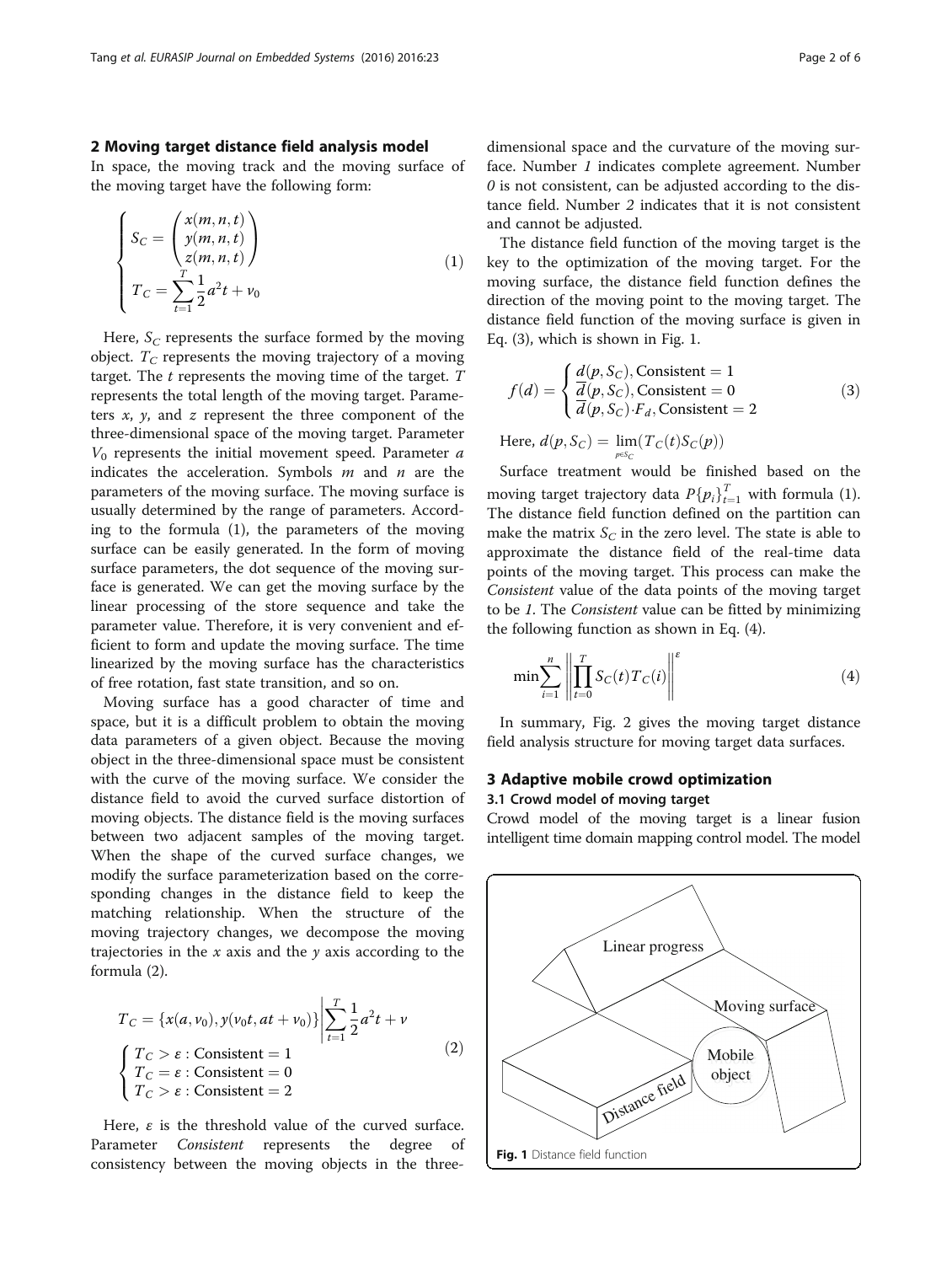### <span id="page-1-0"></span>2 Moving target distance field analysis model

In space, the moving track and the moving surface of the moving target have the following form:

$$
\begin{cases}\nS_C = \begin{pmatrix}\nx(m, n, t) \\
y(m, n, t) \\
z(m, n, t)\n\end{pmatrix} \\
T_C = \sum_{t=1}^T \frac{1}{2} a^2 t + v_0\n\end{cases}
$$
\n(1)

Here,  $S_C$  represents the surface formed by the moving object.  $T_{\text{C}}$  represents the moving trajectory of a moving target. The  $t$  represents the moving time of the target.  $T$ represents the total length of the moving target. Parameters  $x$ ,  $y$ , and  $z$  represent the three component of the three-dimensional space of the moving target. Parameter  $V_0$  represents the initial movement speed. Parameter  $a$ indicates the acceleration. Symbols  $m$  and  $n$  are the parameters of the moving surface. The moving surface is usually determined by the range of parameters. According to the formula (1), the parameters of the moving surface can be easily generated. In the form of moving surface parameters, the dot sequence of the moving surface is generated. We can get the moving surface by the linear processing of the store sequence and take the parameter value. Therefore, it is very convenient and efficient to form and update the moving surface. The time linearized by the moving surface has the characteristics of free rotation, fast state transition, and so on.

Moving surface has a good character of time and space, but it is a difficult problem to obtain the moving data parameters of a given object. Because the moving object in the three-dimensional space must be consistent with the curve of the moving surface. We consider the distance field to avoid the curved surface distortion of moving objects. The distance field is the moving surfaces between two adjacent samples of the moving target. When the shape of the curved surface changes, we modify the surface parameterization based on the corresponding changes in the distance field to keep the matching relationship. When the structure of the moving trajectory changes, we decompose the moving trajectories in the  $x$  axis and the  $y$  axis according to the formula (2).

$$
T_C = \{x(a, v_0), y(v_0t, at + v_0)\}\bigg|\sum_{t=1}^T \frac{1}{2}a^2t + v
$$
  

$$
\begin{cases}T_C > \varepsilon: \text{Consistent} = 1\\T_C = \varepsilon: \text{Consistent} = 0\\T_C > \varepsilon: \text{Consistent} = 2\end{cases}
$$
 (2)

Here,  $\varepsilon$  is the threshold value of the curved surface. Parameter *Consistent* represents the degree consistency between the moving objects in the threedimensional space and the curvature of the moving surface. Number 1 indicates complete agreement. Number  $\theta$  is not consistent, can be adjusted according to the distance field. Number 2 indicates that it is not consistent and cannot be adjusted.

The distance field function of the moving target is the key to the optimization of the moving target. For the moving surface, the distance field function defines the direction of the moving point to the moving target. The distance field function of the moving surface is given in Eq. (3), which is shown in Fig. 1.

$$
f(d) = \begin{cases} \frac{d(p, S_C)}{d(p, S_C), \text{Consistent}} = 1\\ \frac{d(p, S_C)}{d(p, S_C) \cdot F_d, \text{Consistent}} = 2 \end{cases}
$$
 (3)

Here, 
$$
d(p, \mathcal{S}_C) = \lim_{p \in \mathcal{S}_C} (T_C(t) \mathcal{S}_C(p))
$$

Surface treatment would be finished based on the moving target trajectory data  $P\{p_i\}_{i=1}^T$  with formula (1).<br>The distance field function defined on the partition can The distance field function defined on the partition can make the matrix  $S_C$  in the zero level. The state is able to approximate the distance field of the real-time data points of the moving target. This process can make the Consistent value of the data points of the moving target to be 1. The Consistent value can be fitted by minimizing the following function as shown in Eq. (4).

$$
\min \sum_{i=1}^{n} \left\| \prod_{t=0}^{T} S_C(t) T_C(i) \right\|^{\varepsilon}
$$
\n(4)

In summary, Fig. [2](#page-2-0) gives the moving target distance field analysis structure for moving target data surfaces.

## 3 Adaptive mobile crowd optimization 3.1 Crowd model of moving target

Crowd model of the moving target is a linear fusion intelligent time domain mapping control model. The model

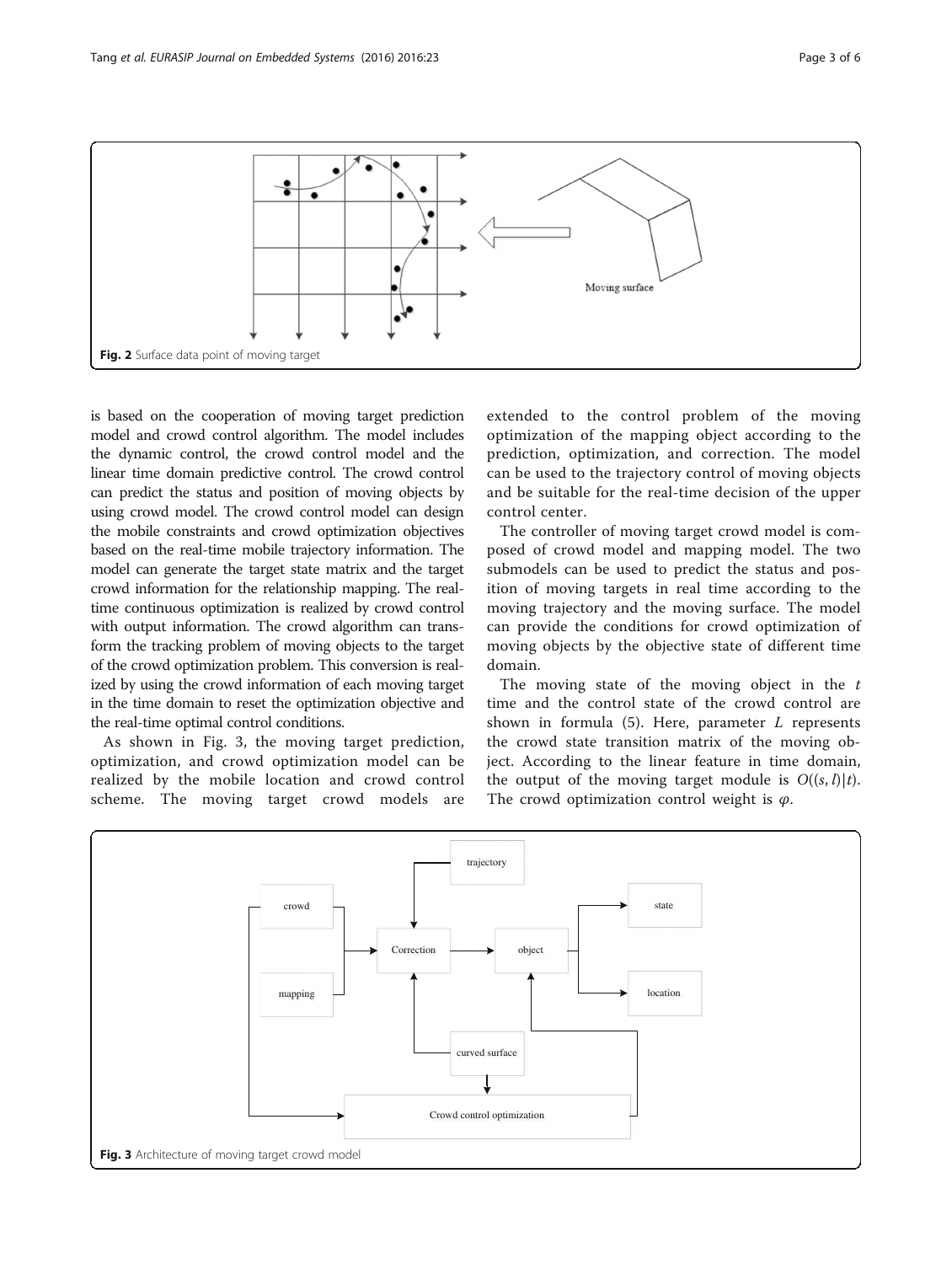<span id="page-2-0"></span>

is based on the cooperation of moving target prediction model and crowd control algorithm. The model includes the dynamic control, the crowd control model and the linear time domain predictive control. The crowd control can predict the status and position of moving objects by using crowd model. The crowd control model can design the mobile constraints and crowd optimization objectives based on the real-time mobile trajectory information. The model can generate the target state matrix and the target crowd information for the relationship mapping. The realtime continuous optimization is realized by crowd control with output information. The crowd algorithm can transform the tracking problem of moving objects to the target of the crowd optimization problem. This conversion is realized by using the crowd information of each moving target in the time domain to reset the optimization objective and the real-time optimal control conditions.

As shown in Fig. 3, the moving target prediction, optimization, and crowd optimization model can be realized by the mobile location and crowd control scheme. The moving target crowd models are

extended to the control problem of the moving optimization of the mapping object according to the prediction, optimization, and correction. The model can be used to the trajectory control of moving objects and be suitable for the real-time decision of the upper control center.

The controller of moving target crowd model is composed of crowd model and mapping model. The two submodels can be used to predict the status and position of moving targets in real time according to the moving trajectory and the moving surface. The model can provide the conditions for crowd optimization of moving objects by the objective state of different time domain.

The moving state of the moving object in the  $t$ time and the control state of the crowd control are shown in formula  $(5)$ . Here, parameter  $L$  represents the crowd state transition matrix of the moving object. According to the linear feature in time domain, the output of the moving target module is  $O((s, l)|t)$ . The crowd optimization control weight is  $\varphi$ .

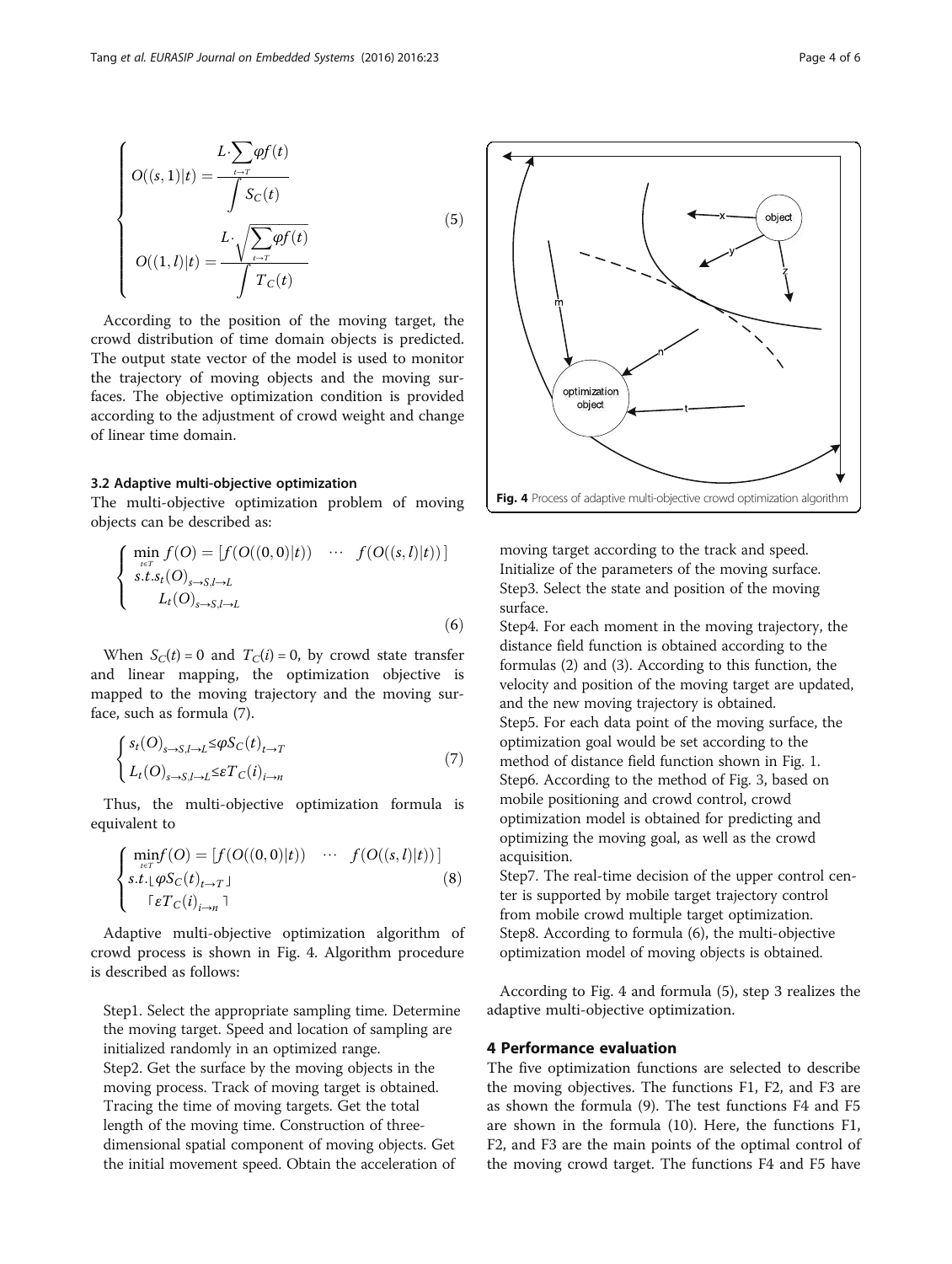<span id="page-3-0"></span>
$$
O((s, 1)|t) = \frac{L \cdot \sum_{t \to T} \varphi f(t)}{\int S_C(t)}\n O((1, l)|t) = \frac{L \cdot \sqrt{\sum_{t \to T} \varphi f(t)}}{\int T_C(t)}\n \tag{5}
$$

According to the position of the moving target, the crowd distribution of time domain objects is predicted. The output state vector of the model is used to monitor the trajectory of moving objects and the moving surfaces. The objective optimization condition is provided according to the adjustment of crowd weight and change of linear time domain.

#### 3.2 Adaptive multi-objective optimization

The multi-objective optimization problem of moving objects can be described as:

$$
\begin{cases}\n\min_{t \in T} f(O) = [f(O((0,0)|t)) \quad \cdots \quad f(O((s,l)|t))] \\
s.t. s_t(O)_{s \to S, l \to L} \\
L_t(O)_{s \to S, l \to L}\n\end{cases}
$$
\n(6)

When  $S_C(t) = 0$  and  $T_C(i) = 0$ , by crowd state transfer and linear mapping, the optimization objective is mapped to the moving trajectory and the moving surface, such as formula (7).

$$
\begin{cases}\ns_t(O)_{s \to S, l \to L} \leq \varphi S_C(t)_{t \to T} \\
L_t(O)_{s \to S, l \to L} \leq \varepsilon T_C(i)_{i \to n}\n\end{cases} \tag{7}
$$

Thus, the multi-objective optimization formula is equivalent to

$$
\begin{cases}\n\min_{t \in T} f(O) = [f(O((0,0)|t)) \quad \cdots \quad f(O((s,l)|t))] \\
s.t. \lfloor \varphi S_C(t)_{t \to T} \rfloor \quad \text{(8)} \\
\quad \lceil \varepsilon T_C(i)_{i \to n} \rceil\n\end{cases}
$$

Adaptive multi-objective optimization algorithm of crowd process is shown in Fig. 4. Algorithm procedure is described as follows:

Step1. Select the appropriate sampling time. Determine the moving target. Speed and location of sampling are initialized randomly in an optimized range. Step2. Get the surface by the moving objects in the moving process. Track of moving target is obtained. Tracing the time of moving targets. Get the total length of the moving time. Construction of threedimensional spatial component of moving objects. Get the initial movement speed. Obtain the acceleration of



moving target according to the track and speed. Initialize of the parameters of the moving surface. Step3. Select the state and position of the moving surface.

Step4. For each moment in the moving trajectory, the distance field function is obtained according to the formulas (2) and (3). According to this function, the velocity and position of the moving target are updated, and the new moving trajectory is obtained. Step5. For each data point of the moving surface, the optimization goal would be set according to the method of distance field function shown in Fig. [1](#page-1-0). Step6. According to the method of Fig. [3](#page-2-0), based on mobile positioning and crowd control, crowd optimization model is obtained for predicting and optimizing the moving goal, as well as the crowd acquisition.

Step7. The real-time decision of the upper control center is supported by mobile target trajectory control from mobile crowd multiple target optimization. Step8. According to formula (6), the multi-objective optimization model of moving objects is obtained.

According to Fig. 4 and formula (5), step 3 realizes the adaptive multi-objective optimization.

#### 4 Performance evaluation

The five optimization functions are selected to describe the moving objectives. The functions F1, F2, and F3 are as shown the formula (9). The test functions F4 and F5 are shown in the formula (10). Here, the functions F1, F2, and F3 are the main points of the optimal control of the moving crowd target. The functions F4 and F5 have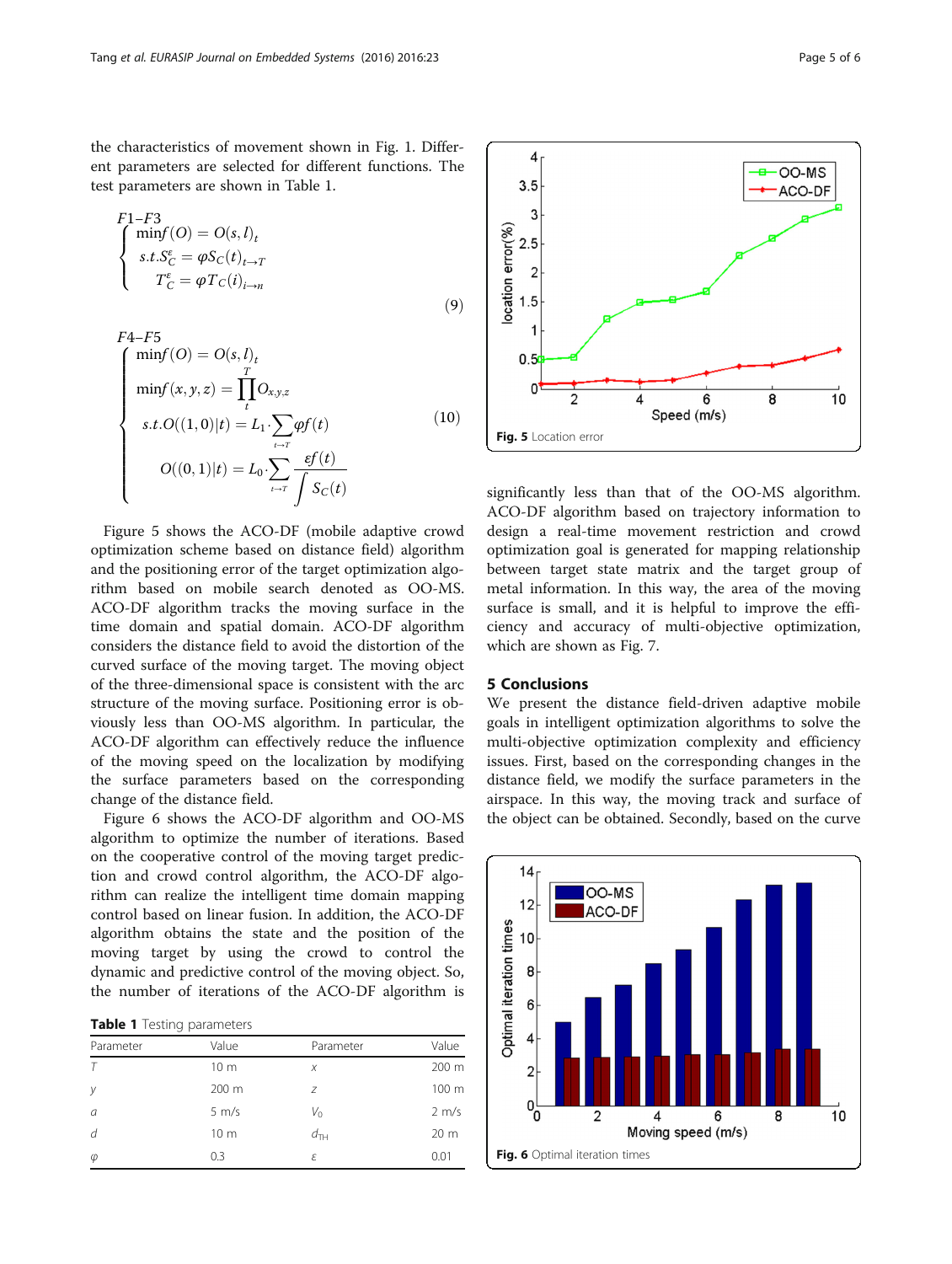<span id="page-4-0"></span>the characteristics of movement shown in Fig. [1.](#page-1-0) Different parameters are selected for different functions. The test parameters are shown in Table 1.

$$
F1-F3
$$
  
\n
$$
\begin{cases}\n\min f(O) = O(s, l)_t \\
s.t. S_C^{\varepsilon} = \varphi S_C(t)_{t \to T} \\
T_C^{\varepsilon} = \varphi T_C(i)_{i \to n}\n\end{cases}
$$
\n(9)

$$
F4-F5
$$
\n
$$
\begin{cases}\n\min f(O) = O(s, l)_t \\
\min f(x, y, z) = \prod_{t}^{T} O_{x, y, z} \\
s.t. O((1, 0)|t) = L_1 \cdot \sum_{t \to T} \varphi f(t) \\
O((0, 1)|t) = L_0 \cdot \sum_{t \to T} \frac{\varepsilon f(t)}{\int S_C(t)}\n\end{cases}
$$
\n(10)

Figure 5 shows the ACO-DF (mobile adaptive crowd optimization scheme based on distance field) algorithm and the positioning error of the target optimization algorithm based on mobile search denoted as OO-MS. ACO-DF algorithm tracks the moving surface in the time domain and spatial domain. ACO-DF algorithm considers the distance field to avoid the distortion of the curved surface of the moving target. The moving object of the three-dimensional space is consistent with the arc structure of the moving surface. Positioning error is obviously less than OO-MS algorithm. In particular, the ACO-DF algorithm can effectively reduce the influence of the moving speed on the localization by modifying the surface parameters based on the corresponding change of the distance field.

Figure 6 shows the ACO-DF algorithm and OO-MS algorithm to optimize the number of iterations. Based on the cooperative control of the moving target prediction and crowd control algorithm, the ACO-DF algorithm can realize the intelligent time domain mapping control based on linear fusion. In addition, the ACO-DF algorithm obtains the state and the position of the moving target by using the crowd to control the dynamic and predictive control of the moving object. So, the number of iterations of the ACO-DF algorithm is

Table 1 Testing parameters

| Parameter | Value             | Parameter       | Value             |
|-----------|-------------------|-----------------|-------------------|
|           | 10 <sub>m</sub>   | X               | 200 m             |
| у         | 200 m             | 7               | 100 m             |
| a         | $5 \, \text{m/s}$ | $V_{\rm O}$     | $2 \, \text{m/s}$ |
| d         | 10 <sub>m</sub>   | $d_{\text{TH}}$ | 20 <sub>m</sub>   |
| $\varphi$ | 0.3               | ε               | 0.01              |



significantly less than that of the OO-MS algorithm. ACO-DF algorithm based on trajectory information to design a real-time movement restriction and crowd optimization goal is generated for mapping relationship between target state matrix and the target group of metal information. In this way, the area of the moving surface is small, and it is helpful to improve the efficiency and accuracy of multi-objective optimization, which are shown as Fig. [7.](#page-5-0)

## 5 Conclusions

We present the distance field-driven adaptive mobile goals in intelligent optimization algorithms to solve the multi-objective optimization complexity and efficiency issues. First, based on the corresponding changes in the distance field, we modify the surface parameters in the airspace. In this way, the moving track and surface of the object can be obtained. Secondly, based on the curve